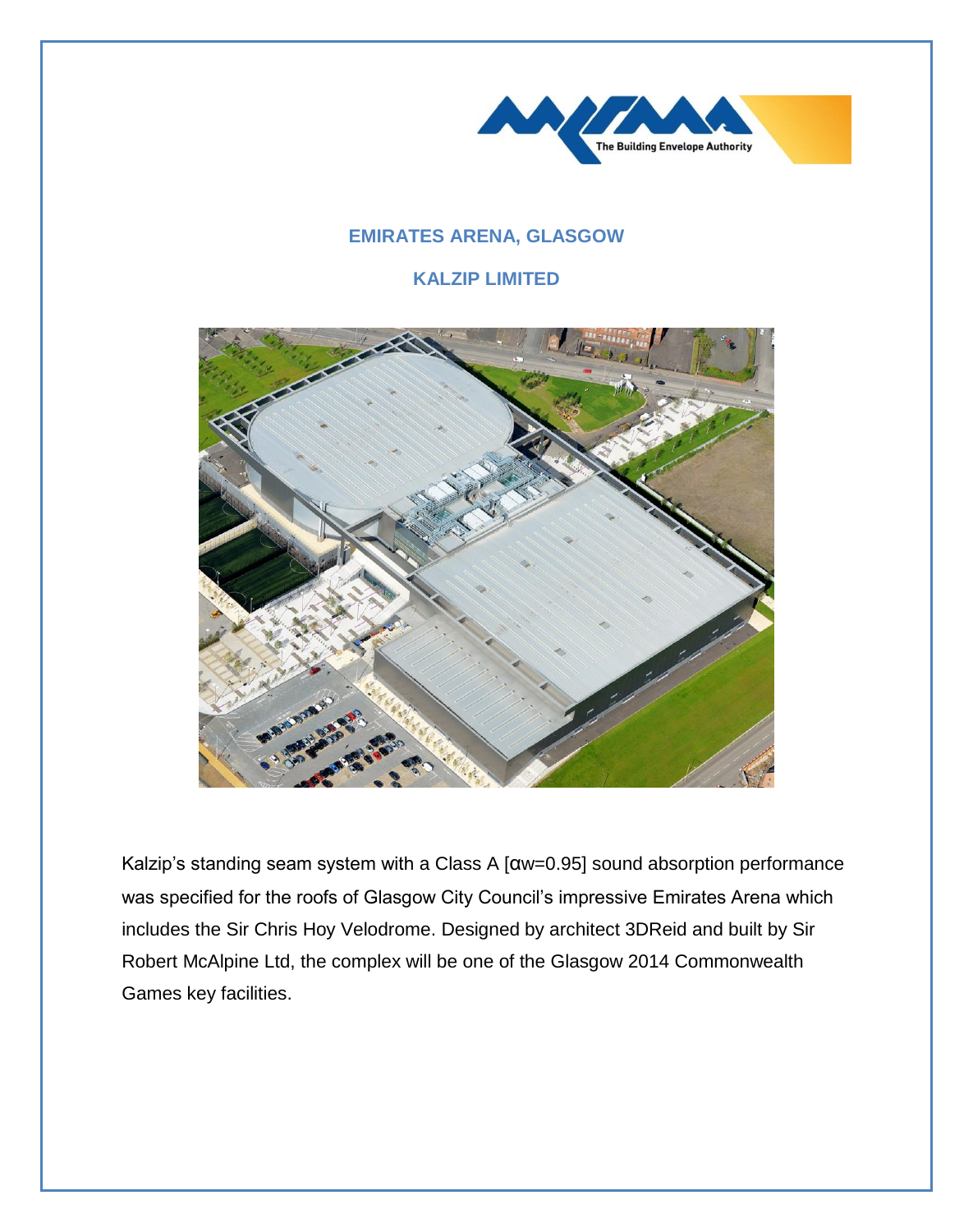

## **EMIRATES ARENA, GLASGOW**

## **KALZIP LIMITED**



Kalzip's standing seam system with a Class A [αw=0.95] sound absorption performance was specified for the roofs of Glasgow City Council's impressive Emirates Arena which includes the Sir Chris Hoy Velodrome. Designed by architect 3DReid and built by Sir Robert McAlpine Ltd, the complex will be one of the Glasgow 2014 Commonwealth Games key facilities.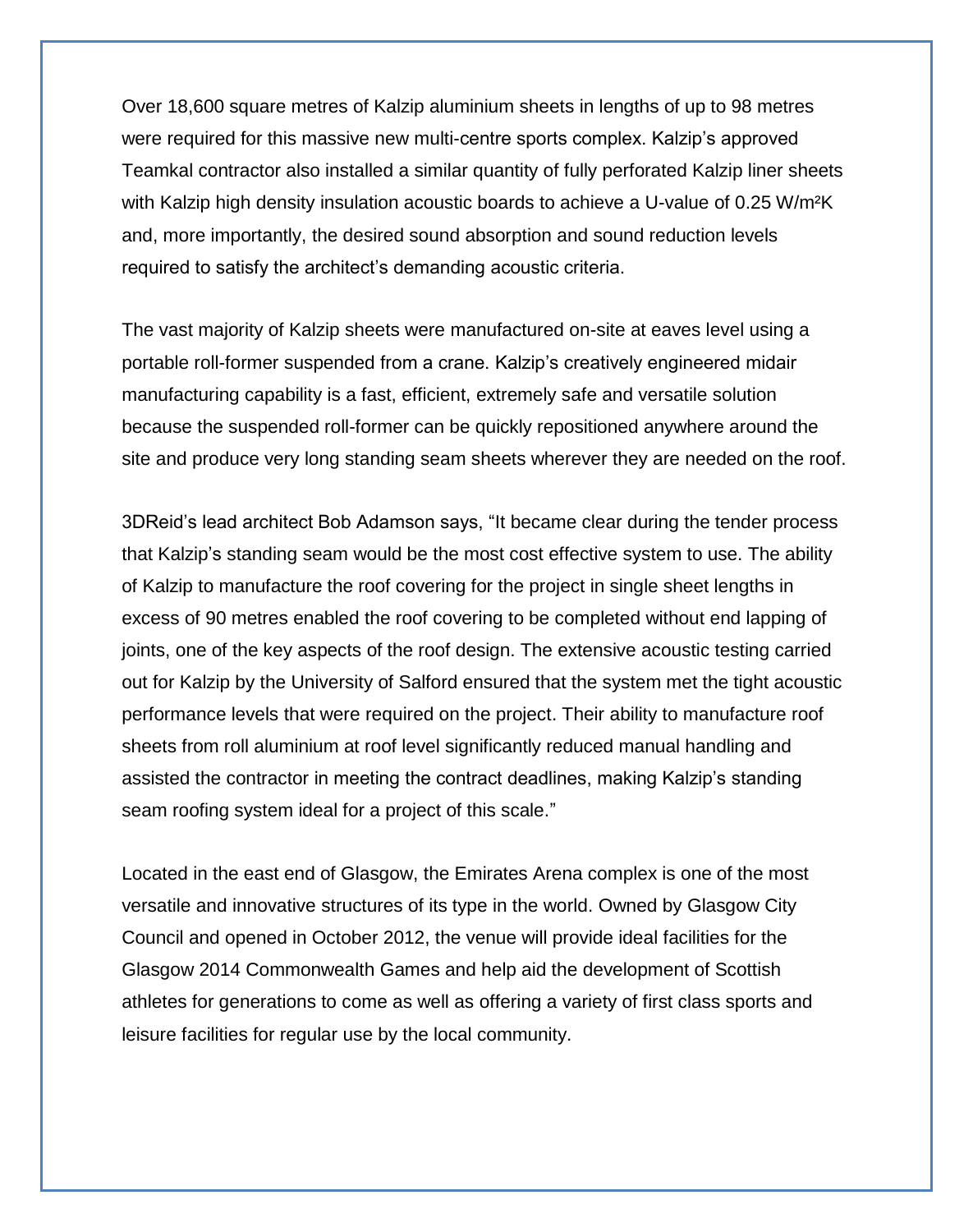Over 18,600 square metres of Kalzip aluminium sheets in lengths of up to 98 metres were required for this massive new multi-centre sports complex. Kalzip's approved Teamkal contractor also installed a similar quantity of fully perforated Kalzip liner sheets with Kalzip high density insulation acoustic boards to achieve a U-value of 0.25 W/m<sup>2</sup>K and, more importantly, the desired sound absorption and sound reduction levels required to satisfy the architect's demanding acoustic criteria.

The vast majority of Kalzip sheets were manufactured on-site at eaves level using a portable roll-former suspended from a crane. Kalzip's creatively engineered midair manufacturing capability is a fast, efficient, extremely safe and versatile solution because the suspended roll-former can be quickly repositioned anywhere around the site and produce very long standing seam sheets wherever they are needed on the roof.

3DReid's lead architect Bob Adamson says, "It became clear during the tender process that Kalzip's standing seam would be the most cost effective system to use. The ability of Kalzip to manufacture the roof covering for the project in single sheet lengths in excess of 90 metres enabled the roof covering to be completed without end lapping of joints, one of the key aspects of the roof design. The extensive acoustic testing carried out for Kalzip by the University of Salford ensured that the system met the tight acoustic performance levels that were required on the project. Their ability to manufacture roof sheets from roll aluminium at roof level significantly reduced manual handling and assisted the contractor in meeting the contract deadlines, making Kalzip's standing seam roofing system ideal for a project of this scale."

Located in the east end of Glasgow, the Emirates Arena complex is one of the most versatile and innovative structures of its type in the world. Owned by Glasgow City Council and opened in October 2012, the venue will provide ideal facilities for the Glasgow 2014 Commonwealth Games and help aid the development of Scottish athletes for generations to come as well as offering a variety of first class sports and leisure facilities for regular use by the local community.